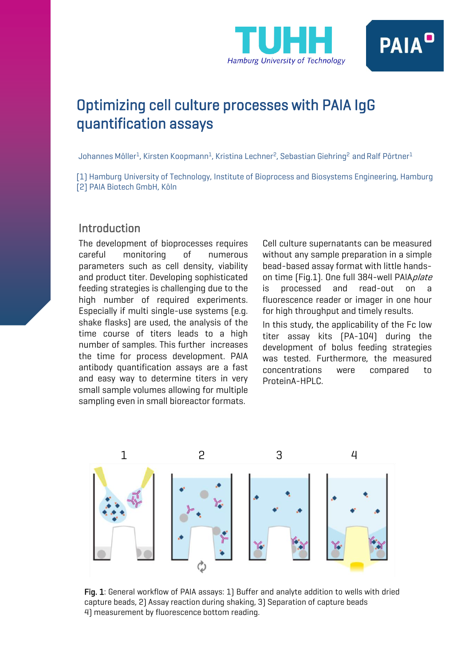



# Optimizing cell culture processes with PAIA IgG quantification assays

Johannes Möller<sup>1</sup>, Kirsten Koopmann<sup>1</sup>, Kristina Lechner<sup>2</sup>, Sebastian Giehring<sup>2</sup> and Ralf Pörtner<sup>1</sup>

[1) Hamburg University of Technology, Institute of Bioprocess and Biosystems Engineering, Hamburg [2] PAIA Biotech GmbH, Köln

# Introduction

The development of bioprocesses requires careful monitoring of numerous parameters such as cell density, viability and product titer. Developing sophisticated feeding strategies is challenging due to the high number of required experiments. Especially if multi single-use systems (e.g. shake flasks) are used, the analysis of the time course of titers leads to a high number of samples. This further increases the time for process development. PAIA antibody quantification assays are a fast and easy way to determine titers in very small sample volumes allowing for multiple sampling even in small bioreactor formats.

Cell culture supernatants can be measured without any sample preparation in a simple bead-based assay format with little handson time (Fig.1). One full 384-well PAIAplate is processed and read-out on a fluorescence reader or imager in one hour for high throughput and timely results.

In this study, the applicability of the Fc low titer assay kits (PA-104) during the development of bolus feeding strategies was tested. Furthermore, the measured concentrations were compared to ProteinA-HPLC.



Fig. 1: General workflow of PAIA assays: 1) Buffer and analyte addition to wells with dried capture beads, 2) Assay reaction during shaking, 3) Separation of capture beads 4) measurement by fluorescence bottom reading.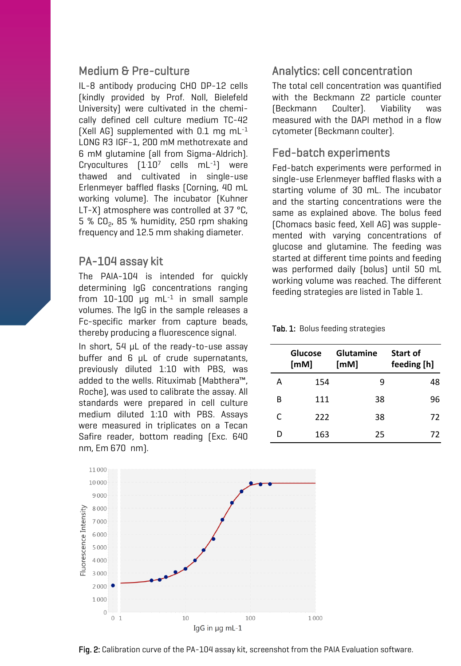### Medium & Pre-culture

IL-8 antibody producing CHO DP-12 cells (kindly provided by Prof. Noll, Bielefeld University) were cultivated in the chemically defined cell culture medium TC-42 (Xell AG) supplemented with  $0.1$  mg mL $^{-1}$ LONG R3 IGF-1, 200 mM methotrexate and 6 mM glutamine (all from Sigma-Aldrich). Cryocultures  $[1 \cdot 10^7$  cells mL $^{-1}]$  were thawed and cultivated in single-use Erlenmeyer baffled flasks (Corning, 40 mL working volume). The incubator (Kuhner LT-X) atmosphere was controlled at 37 °C,  $5$  % CO $_{\rm 2}$ , 85 % humidity, 250 rpm shaking frequency and 12.5 mm shaking diameter.

### PA-104 assay kit

The PAIA-104 is intended for quickly determining IgG concentrations ranging from  $10$ - $100$   $\mu$ g mL<sup>-1</sup> in small sample volumes. The IgG in the sample releases a Fc-specific marker from capture beads, thereby producing a fluorescence signal.

In short, 54 µL of the ready-to-use assay buffer and 6 µL of crude supernatants, previously diluted 1:10 with PBS, was added to the wells. Rituximab (Mabthera™, Roche), was used to calibrate the assay. All standards were prepared in cell culture medium diluted 1:10 with PBS. Assays were measured in triplicates on a Tecan Safire reader, bottom reading (Exc. 640 nm, Em 670~nm).

# Analytics: cell concentration

The total cell concentration was quantified with the Beckmann Z2 particle counter (Beckmann Coulter). Viability was measured with the DAPI method in a flow cytometer (Beckmann coulter).

### Fed-batch experiments

Fed-batch experiments were performed in single-use Erlenmeyer baffled flasks with a starting volume of 30 mL. The incubator and the starting concentrations were the same as explained above. The bolus feed (Chomacs basic feed, Xell AG) was supplemented with varying concentrations of glucose and glutamine. The feeding was started at different time points and feeding was performed daily (bolus) until 50 mL working volume was reached. The different feeding strategies are listed in Table 1.

#### Tab. 1: Bolus feeding strategies

|   | Glucose<br>[MM] | Glutamine<br>[MM] | Start of<br>feeding [h] |
|---|-----------------|-------------------|-------------------------|
| А | 154             | q                 | 48                      |
| в | 111             | 38                | 96                      |
| C | 222             | 38                | 72                      |
| D | 163             | 25                | 72                      |



Fig. 2: Calibration curve of the PA-104 assay kit, screenshot from the PAIA Evaluation software.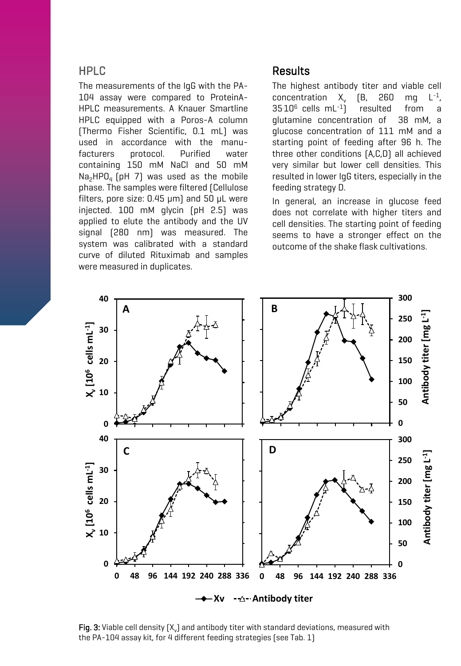### HPLC

The measurements of the IgG with the PA-104 assay were compared to ProteinA-HPLC measurements. A Knauer Smartline HPLC equipped with a Poros-A column (Thermo Fisher Scientific, 0.1 mL) was used in accordance with the manufacturers protocol. Purified water containing 150 mM NaCl and 50 mM  $\mathsf{Na}_2\mathsf{HPO}_4$  (pH  $\,$  7) was used as the mobile phase. The samples were filtered (Cellulose filters, pore size: 0.45 µm) and 50 µL were injected. 100 mM glycin (pH 2.5) was applied to elute the antibody and the UV signal (280 nm) was measured. The system was calibrated with a standard curve of diluted Rituximab and samples were measured in duplicates.

### Results

The highest antibody titer and viable cell concentration  $X_{\nu}$  (B, 260 ma -1 ,  $35.10^6$  cells mL<sup>-1</sup>] resulted from glutamine concentration of 38 mM, a glucose concentration of 111 mM and a starting point of feeding after 96 h. The three other conditions (A,C,D) all achieved very similar but lower cell densities. This resulted in lower IgG titers, especially in the feeding strategy D.

In general, an increase in glucose feed does not correlate with higher titers and cell densities. The starting point of feeding seems to have a stronger effect on the outcome of the shake flask cultivations.



**Fig. 3:** Viable cell density (X $_{\rm v}$ ) and antibody titer with standard deviations, measured with the PA-104 assay kit, for 4 different feeding strategies (see Tab. 1)